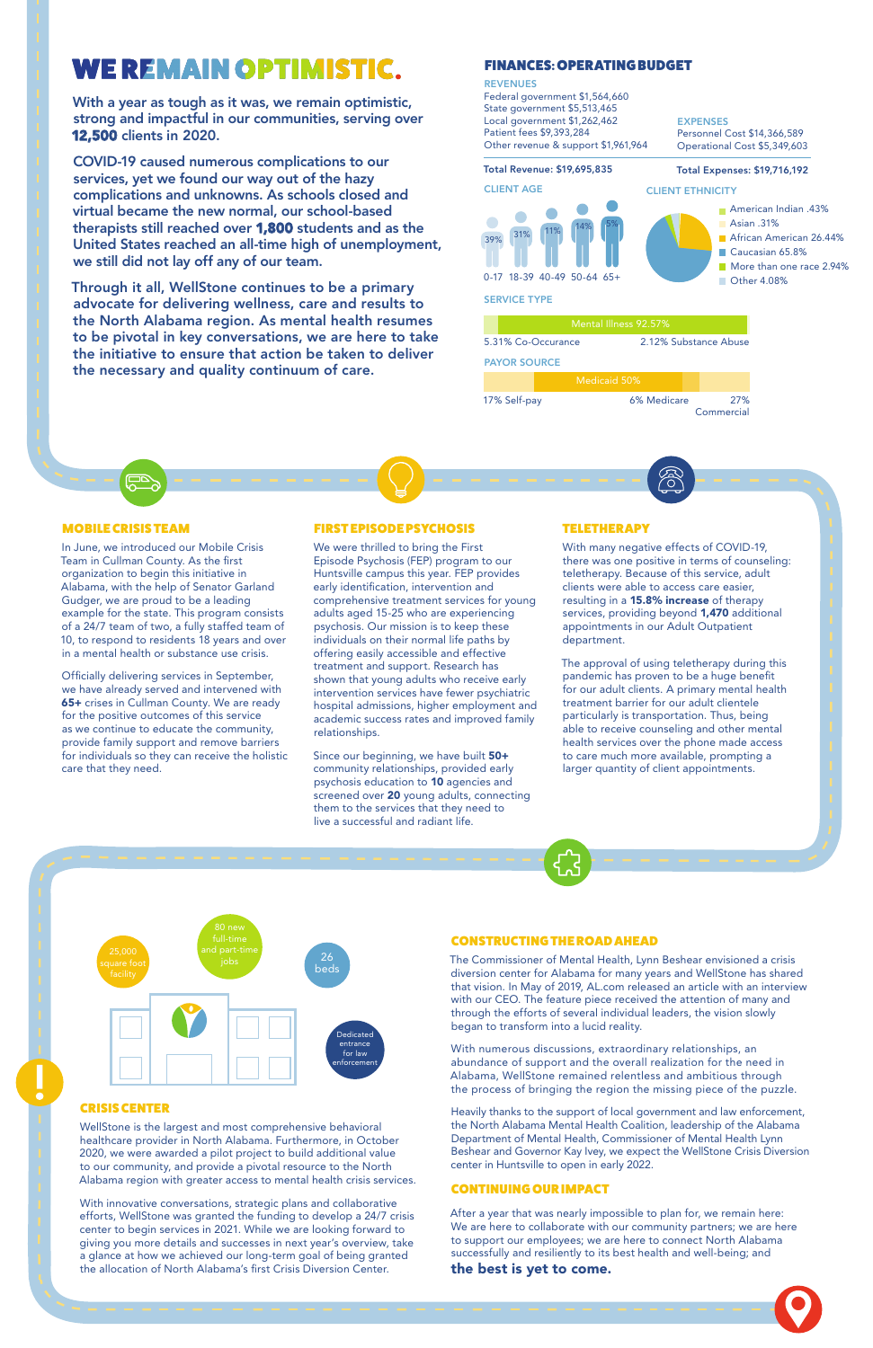### **WE REMAIN OPTIMISTIC.**

With a year as tough as it was, we remain optimistic, strong and impactful in our communities, serving over 12,500 clients in 2020.

COVID-19 caused numerous complications to our services, yet we found our way out of the hazy complications and unknowns. As schools closed and virtual became the new normal, our school-based therapists still reached over 1,800 students and as the United States reached an all-time high of unemployment, we still did not lay off any of our team.

Through it all, WellStone continues to be a primary advocate for delivering wellness, care and results to the North Alabama region. As mental health resumes to be pivotal in key conversations, we are here to take the initiative to ensure that action be taken to deliver the necessary and quality continuum of care.

#### MOBILE CRISIS TEAM

In June, we introduced our Mobile Crisis Team in Cullman County. As the first organization to begin this initiative in Alabama, with the help of Senator Garland Gudger, we are proud to be a leading example for the state. This program consists of a 24/7 team of two, a fully staffed team of 10, to respond to residents 18 years and over in a mental health or substance use crisis.

> Since our beginning, we have built 50+ community relationships, provided early psychosis education to 10 agencies and screened over 20 young adults, connecting them to the services that they need to live a successful and radiant life.

#### **TELETHERAPY**

Officially delivering services in September, we have already served and intervened with 65+ crises in Cullman County. We are ready for the positive outcomes of this service as we continue to educate the community, provide family support and remove barriers for individuals so they can receive the holistic care that they need.

#### FIRST EPISODE PSYCHOSIS

We were thrilled to bring the First Episode Psychosis (FEP) program to our Huntsville campus this year. FEP provides early identification, intervention and comprehensive treatment services for young adults aged 15-25 who are experiencing psychosis. Our mission is to keep these individuals on their normal life paths by offering easily accessible and effective treatment and support. Research has shown that young adults who receive early intervention services have fewer psychiatric hospital admissions, higher employment and academic success rates and improved family relationships.

With many negative effects of COVID-19, there was one positive in terms of counseling: teletherapy. Because of this service, adult clients were able to access care easier, resulting in a 15.8% increase of therapy services, providing beyond 1,470 additional appointments in our Adult Outpatient department.

#### **REVENUES** Federal government \$1,564,660 State government \$5,513,465 Local government \$1,262,462 Patient fees \$9,393,284 Other revenue & support \$1,961,964 Total Revenue: \$19,695,835 CLIENT AGE CLIENT ETHNICITY **EXPENSES** Personnel Cost \$14,366,589 Operational Cost \$5,349,603 Total Expenses: \$19,716,192

The approval of using teletherapy during this pandemic has proven to be a huge benefit for our adult clients. A primary mental health treatment barrier for our adult clientele particularly is transportation. Thus, being able to receive counseling and other mental health services over the phone made access to care much more available, prompting a larger quantity of client appointments.

#### CRISIS CENTER

WellStone is the largest and most comprehensive behavioral healthcare provider in North Alabama. Furthermore, in October 2020, we were awarded a pilot project to build additional value to our community, and provide a pivotal resource to the North Alabama region with greater access to mental health crisis services.

With innovative conversations, strategic plans and collaborative efforts, WellStone was granted the funding to develop a 24/7 crisis center to begin services in 2021. While we are looking forward to giving you more details and successes in next year's overview, take a glance at how we achieved our long-term goal of being granted the allocation of North Alabama's first Crisis Diversion Center.

#### CONSTRUCTING THE ROAD AHEAD

The Commissioner of Mental Health, Lynn Beshear envisioned a crisis diversion center for Alabama for many years and WellStone has shared that vision. In May of 2019, AL.com released an article with an interview with our CEO. The feature piece received the attention of many and through the efforts of several individual leaders, the vision slowly began to transform into a lucid reality.

With numerous discussions, extraordinary relationships, an abundance of support and the overall realization for the need in Alabama, WellStone remained relentless and ambitious through the process of bringing the region the missing piece of the puzzle.

Heavily thanks to the support of local government and law enforcement, the North Alabama Mental Health Coalition, leadership of the Alabama Department of Mental Health, Commissioner of Mental Health Lynn Beshear and Governor Kay Ivey, we expect the WellStone Crisis Diversion center in Huntsville to open in early 2022.

#### CONTINUING OUR IMPACT

After a year that was nearly impossible to plan for, we remain here: We are here to collaborate with our community partners; we are here to support our employees; we are here to connect North Alabama successfully and resiliently to its best health and well-being; and the best is yet to come.

### FINANCES: OPERATING BUDGET

5.31% Co-Occurance 2.12% Substance Abuse

PAYOR SOURCE